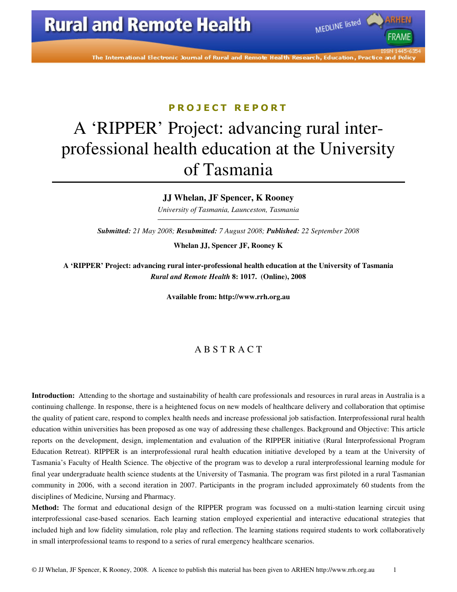The International Electronic Journal of Rural and Remote Health Research, Education, Practice and Policy

MEDLINE listed

### P R O J E C T R E P O R T

# A 'RIPPER' Project: advancing rural interprofessional health education at the University of Tasmania

#### **JJ Whelan, JF Spencer, K Rooney**

*University of Tasmania, Launceston, Tasmania* 

*Submitted: 21 May 2008; Resubmitted: 7 August 2008; Published: 22 September 2008* 

**Whelan JJ, Spencer JF, Rooney K** 

**A 'RIPPER' Project: advancing rural inter-professional health education at the University of Tasmania**  *Rural and Remote Health* **8: 1017. (Online), 2008** 

**Available from: http://www.rrh.org.au** 

### A B S T R A C T

**Introduction:** Attending to the shortage and sustainability of health care professionals and resources in rural areas in Australia is a continuing challenge. In response, there is a heightened focus on new models of healthcare delivery and collaboration that optimise the quality of patient care, respond to complex health needs and increase professional job satisfaction. Interprofessional rural health education within universities has been proposed as one way of addressing these challenges. Background and Objective: This article reports on the development, design, implementation and evaluation of the RIPPER initiative (Rural Interprofessional Program Education Retreat). RIPPER is an interprofessional rural health education initiative developed by a team at the University of Tasmania's Faculty of Health Science. The objective of the program was to develop a rural interprofessional learning module for final year undergraduate health science students at the University of Tasmania. The program was first piloted in a rural Tasmanian community in 2006, with a second iteration in 2007. Participants in the program included approximately 60 students from the disciplines of Medicine, Nursing and Pharmacy.

**Method:** The format and educational design of the RIPPER program was focussed on a multi-station learning circuit using interprofessional case-based scenarios. Each learning station employed experiential and interactive educational strategies that included high and low fidelity simulation, role play and reflection. The learning stations required students to work collaboratively in small interprofessional teams to respond to a series of rural emergency healthcare scenarios.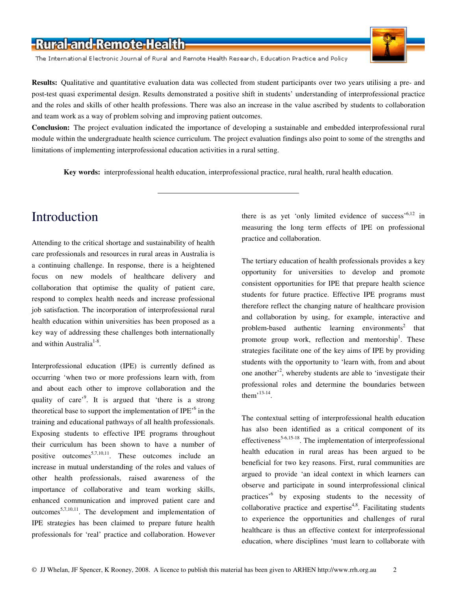The International Electronic Journal of Rural and Remote Health Research, Education Practice and Policy



**Results:** Qualitative and quantitative evaluation data was collected from student participants over two years utilising a pre- and post-test quasi experimental design. Results demonstrated a positive shift in students' understanding of interprofessional practice and the roles and skills of other health professions. There was also an increase in the value ascribed by students to collaboration and team work as a way of problem solving and improving patient outcomes.

**Conclusion:** The project evaluation indicated the importance of developing a sustainable and embedded interprofessional rural module within the undergraduate health science curriculum. The project evaluation findings also point to some of the strengths and limitations of implementing interprofessional education activities in a rural setting.

**Key words:** interprofessional health education, interprofessional practice, rural health, rural health education.

### Introduction

Attending to the critical shortage and sustainability of health care professionals and resources in rural areas in Australia is a continuing challenge. In response, there is a heightened focus on new models of healthcare delivery and collaboration that optimise the quality of patient care, respond to complex health needs and increase professional job satisfaction. The incorporation of interprofessional rural health education within universities has been proposed as a key way of addressing these challenges both internationally and within Australia $1-8$ .

Interprofessional education (IPE) is currently defined as occurring 'when two or more professions learn with, from and about each other to improve collaboration and the quality of care<sup>'9</sup>. It is argued that 'there is a strong theoretical base to support the implementation of IPE $<sup>6</sup>$  in the</sup> training and educational pathways of all health professionals. Exposing students to effective IPE programs throughout their curriculum has been shown to have a number of positive outcomes<sup>5,7,10,11</sup>. These outcomes include an increase in mutual understanding of the roles and values of other health professionals, raised awareness of the importance of collaborative and team working skills, enhanced communication and improved patient care and outcomes<sup>5,7,10,11</sup>. The development and implementation of IPE strategies has been claimed to prepare future health professionals for 'real' practice and collaboration. However

there is as yet 'only limited evidence of success'<sup>6,12</sup> in measuring the long term effects of IPE on professional practice and collaboration.

The tertiary education of health professionals provides a key opportunity for universities to develop and promote consistent opportunities for IPE that prepare health science students for future practice. Effective IPE programs must therefore reflect the changing nature of healthcare provision and collaboration by using, for example, interactive and problem-based authentic learning environments<sup>2</sup> that promote group work, reflection and mentorship<sup>1</sup>. These strategies facilitate one of the key aims of IPE by providing students with the opportunity to 'learn with, from and about one another<sup>2</sup>, whereby students are able to 'investigate their professional roles and determine the boundaries between them<sup> $,13-14$ </sup>.

The contextual setting of interprofessional health education has also been identified as a critical component of its effectiveness<sup>5-6,15-18</sup>. The implementation of interprofessional health education in rural areas has been argued to be beneficial for two key reasons. First, rural communities are argued to provide 'an ideal context in which learners can observe and participate in sound interprofessional clinical practices<sup>,6</sup> by exposing students to the necessity of collaborative practice and expertise<sup>4,8</sup>. Facilitating students to experience the opportunities and challenges of rural healthcare is thus an effective context for interprofessional education, where disciplines 'must learn to collaborate with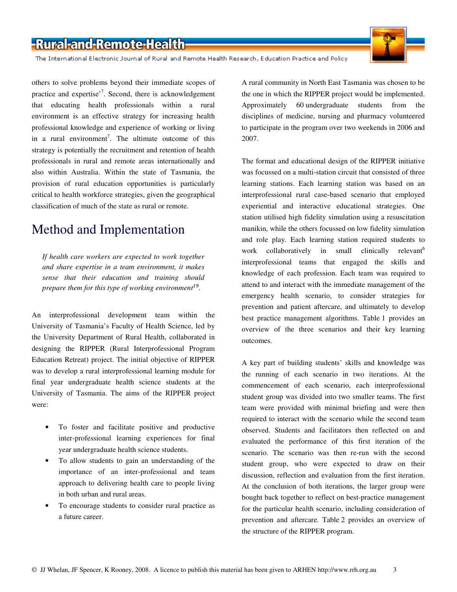The International Electronic Journal of Rural and Remote Health Research, Education Practice and Policy

others to solve problems beyond their immediate scopes of practice and expertise'<sup>7</sup>. Second, there is acknowledgement that educating health professionals within a rural environment is an effective strategy for increasing health professional knowledge and experience of working or living in a rural environment<sup>7</sup>. The ultimate outcome of this strategy is potentially the recruitment and retention of health professionals in rural and remote areas internationally and also within Australia. Within the state of Tasmania, the provision of rural education opportunities is particularly critical to health workforce strategies, given the geographical classification of much of the state as rural or remote.

# Method and Implementation

*If health care workers are expected to work together and share expertise in a team environment, it makes sense that their education and training should prepare them for this type of working environment*<sup>19</sup> *.* 

An interprofessional development team within the University of Tasmania's Faculty of Health Science, led by the University Department of Rural Health, collaborated in designing the RIPPER (Rural Interprofessional Program Education Retreat) project. The initial objective of RIPPER was to develop a rural interprofessional learning module for final year undergraduate health science students at the University of Tasmania. The aims of the RIPPER project were:

- To foster and facilitate positive and productive inter-professional learning experiences for final year undergraduate health science students.
- To allow students to gain an understanding of the importance of an inter-professional and team approach to delivering health care to people living in both urban and rural areas.
- To encourage students to consider rural practice as a future career.

A rural community in North East Tasmania was chosen to be the one in which the RIPPER project would be implemented. Approximately 60 undergraduate students from the disciplines of medicine, nursing and pharmacy volunteered to participate in the program over two weekends in 2006 and 2007.

The format and educational design of the RIPPER initiative was focussed on a multi-station circuit that consisted of three learning stations. Each learning station was based on an interprofessional rural case-based scenario that employed experiential and interactive educational strategies. One station utilised high fidelity simulation using a resuscitation manikin, while the others focussed on low fidelity simulation and role play. Each learning station required students to work collaboratively in small clinically relevant<sup>6</sup> interprofessional teams that engaged the skills and knowledge of each profession. Each team was required to attend to and interact with the immediate management of the emergency health scenario, to consider strategies for prevention and patient aftercare, and ultimately to develop best practice management algorithms. Table 1 provides an overview of the three scenarios and their key learning outcomes.

A key part of building students' skills and knowledge was the running of each scenario in two iterations. At the commencement of each scenario, each interprofessional student group was divided into two smaller teams. The first team were provided with minimal briefing and were then required to interact with the scenario while the second team observed. Students and facilitators then reflected on and evaluated the performance of this first iteration of the scenario. The scenario was then re-run with the second student group, who were expected to draw on their discussion, reflection and evaluation from the first iteration. At the conclusion of both iterations, the larger group were bought back together to reflect on best-practice management for the particular health scenario, including consideration of prevention and aftercare. Table 2 provides an overview of the structure of the RIPPER program.

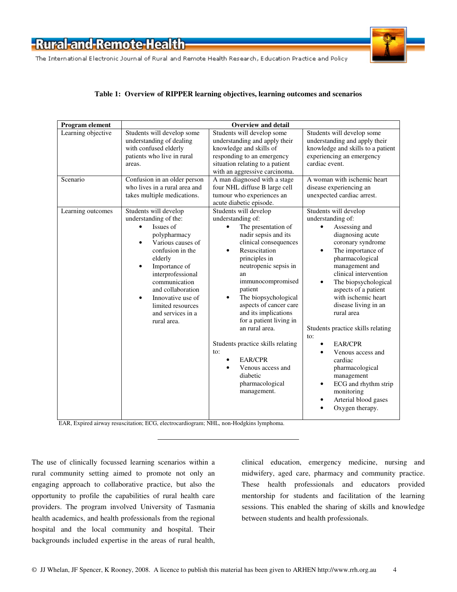The International Electronic Journal of Rural and Remote Health Research, Education Practice and Policy



#### **Table 1: Overview of RIPPER learning objectives, learning outcomes and scenarios**

| Program element    | <b>Overview and detail</b>                                                                                                                                                                                                                                                                                                       |                                                                                                                                                                                                                                                                                                                                                                                                                                                                                          |                                                                                                                                                                                                                                                                                                                                                                                                                                                                                                                                                                |  |  |
|--------------------|----------------------------------------------------------------------------------------------------------------------------------------------------------------------------------------------------------------------------------------------------------------------------------------------------------------------------------|------------------------------------------------------------------------------------------------------------------------------------------------------------------------------------------------------------------------------------------------------------------------------------------------------------------------------------------------------------------------------------------------------------------------------------------------------------------------------------------|----------------------------------------------------------------------------------------------------------------------------------------------------------------------------------------------------------------------------------------------------------------------------------------------------------------------------------------------------------------------------------------------------------------------------------------------------------------------------------------------------------------------------------------------------------------|--|--|
| Learning objective | Students will develop some<br>understanding of dealing<br>with confused elderly<br>patients who live in rural<br>areas.                                                                                                                                                                                                          | Students will develop some<br>understanding and apply their<br>knowledge and skills of<br>responding to an emergency<br>situation relating to a patient<br>with an aggressive carcinoma.                                                                                                                                                                                                                                                                                                 | Students will develop some<br>understanding and apply their<br>knowledge and skills to a patient<br>experiencing an emergency<br>cardiac event.                                                                                                                                                                                                                                                                                                                                                                                                                |  |  |
| Scenario           | Confusion in an older person<br>who lives in a rural area and<br>takes multiple medications.                                                                                                                                                                                                                                     | A man diagnosed with a stage<br>four NHL diffuse B large cell<br>tumour who experiences an<br>acute diabetic episode.                                                                                                                                                                                                                                                                                                                                                                    | A woman with ischemic heart<br>disease experiencing an<br>unexpected cardiac arrest.                                                                                                                                                                                                                                                                                                                                                                                                                                                                           |  |  |
| Learning outcomes  | Students will develop<br>understanding of the:<br>Issues of<br>polypharmacy<br>Various causes of<br>$\bullet$<br>confusion in the<br>elderly<br>Importance of<br>$\bullet$<br>interprofessional<br>communication<br>and collaboration<br>Innovative use of<br>$\bullet$<br>limited resources<br>and services in a<br>rural area. | Students will develop<br>understanding of:<br>The presentation of<br>nadir sepsis and its<br>clinical consequences<br>Resuscitation<br>principles in<br>neutropenic sepsis in<br>an<br>immunocompromised<br>patient<br>The biopsychological<br>$\bullet$<br>aspects of cancer care<br>and its implications<br>for a patient living in<br>an rural area.<br>Students practice skills relating<br>to:<br><b>EAR/CPR</b><br>Venous access and<br>diabetic<br>pharmacological<br>management. | Students will develop<br>understanding of:<br>Assessing and<br>diagnosing acute<br>coronary syndrome<br>The importance of<br>$\bullet$<br>pharmacological<br>management and<br>clinical intervention<br>The biopsychological<br>٠<br>aspects of a patient<br>with ischemic heart<br>disease living in an<br>rural area<br>Students practice skills relating<br>to:<br>EAR/CPR<br>$\bullet$<br>Venous access and<br>cardiac<br>pharmacological<br>management<br>ECG and rhythm strip<br>$\bullet$<br>monitoring<br>Arterial blood gases<br>٠<br>Oxygen therapy. |  |  |

EAR, Expired airway resuscitation; ECG, electrocardiogram; NHL, non-Hodgkins lymphoma.

The use of clinically focussed learning scenarios within a rural community setting aimed to promote not only an engaging approach to collaborative practice, but also the opportunity to profile the capabilities of rural health care providers. The program involved University of Tasmania health academics, and health professionals from the regional hospital and the local community and hospital. Their backgrounds included expertise in the areas of rural health, clinical education, emergency medicine, nursing and midwifery, aged care, pharmacy and community practice. These health professionals and educators provided mentorship for students and facilitation of the learning sessions. This enabled the sharing of skills and knowledge between students and health professionals.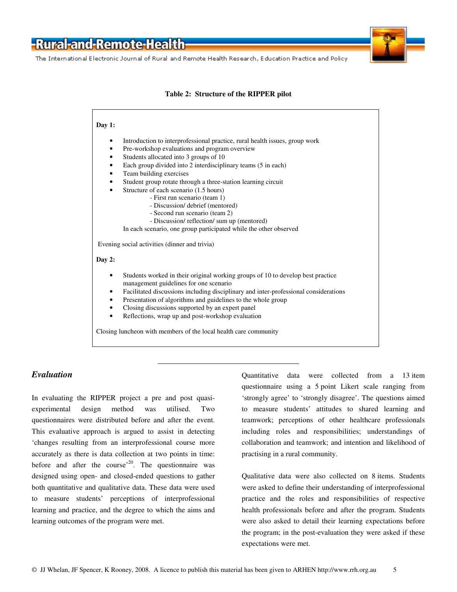The International Electronic Journal of Rural and Remote Health Research, Education Practice and Policy



#### **Table 2: Structure of the RIPPER pilot**



#### *Evaluation*

In evaluating the RIPPER project a pre and post quasiexperimental design method was utilised. Two questionnaires were distributed before and after the event. This evaluative approach is argued to assist in detecting 'changes resulting from an interprofessional course more accurately as there is data collection at two points in time: before and after the course<sup> $20$ </sup>. The questionnaire was designed using open- and closed-ended questions to gather both quantitative and qualitative data. These data were used to measure students' perceptions of interprofessional learning and practice, and the degree to which the aims and learning outcomes of the program were met.

Quantitative data were collected from a 13 item questionnaire using a 5 point Likert scale ranging from 'strongly agree' to 'strongly disagree'. The questions aimed to measure students' attitudes to shared learning and teamwork; perceptions of other healthcare professionals including roles and responsibilities; understandings of collaboration and teamwork; and intention and likelihood of practising in a rural community.

Qualitative data were also collected on 8 items. Students were asked to define their understanding of interprofessional practice and the roles and responsibilities of respective health professionals before and after the program. Students were also asked to detail their learning expectations before the program; in the post-evaluation they were asked if these expectations were met.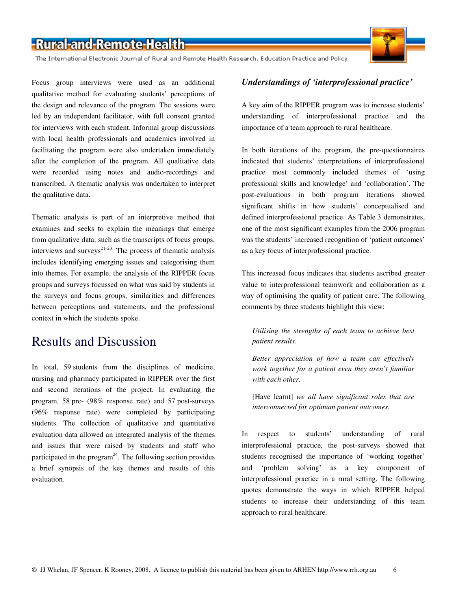The International Electronic Journal of Rural and Remote Health Research, Education Practice and Policy



Focus group interviews were used as an additional qualitative method for evaluating students' perceptions of the design and relevance of the program. The sessions were led by an independent facilitator, with full consent granted for interviews with each student. Informal group discussions with local health professionals and academics involved in facilitating the program were also undertaken immediately after the completion of the program. All qualitative data were recorded using notes and audio-recordings and transcribed. A thematic analysis was undertaken to interpret the qualitative data.

Thematic analysis is part of an interpretive method that examines and seeks to explain the meanings that emerge from qualitative data, such as the transcripts of focus groups, interviews and surveys $21-23$ . The process of thematic analysis includes identifying emerging issues and categorising them into themes. For example, the analysis of the RIPPER focus groups and surveys focussed on what was said by students in the surveys and focus groups, similarities and differences between perceptions and statements, and the professional context in which the students spoke.

### Results and Discussion

In total, 59 students from the disciplines of medicine, nursing and pharmacy participated in RIPPER over the first and second iterations of the project. In evaluating the program, 58 pre- (98% response rate) and 57 post-surveys (96% response rate) were completed by participating students. The collection of qualitative and quantitative evaluation data allowed an integrated analysis of the themes and issues that were raised by students and staff who participated in the program<sup>24</sup>. The following section provides a brief synopsis of the key themes and results of this evaluation.

#### *Understandings of 'interprofessional practice'*

A key aim of the RIPPER program was to increase students' understanding of interprofessional practice and the importance of a team approach to rural healthcare.

In both iterations of the program, the pre-questionnaires indicated that students' interpretations of interprofessional practice most commonly included themes of 'using professional skills and knowledge' and 'collaboration'. The post-evaluations in both program iterations showed significant shifts in how students' conceptualised and defined interprofessional practice. As Table 3 demonstrates, one of the most significant examples from the 2006 program was the students' increased recognition of 'patient outcomes' as a key focus of interprofessional practice.

This increased focus indicates that students ascribed greater value to interprofessional teamwork and collaboration as a way of optimising the quality of patient care. The following comments by three students highlight this view:

*Utilising the strengths of each team to achieve best patient results.* 

*Better appreciation of how a team can effectively work together for a patient even they aren't familiar with each other.* 

[Have learnt] *we all have significant roles that are interconnected for optimum patient outcomes.* 

In respect to students' understanding of rural interprofessional practice, the post-surveys showed that students recognised the importance of 'working together' and 'problem solving' as a key component of interprofessional practice in a rural setting. The following quotes demonstrate the ways in which RIPPER helped students to increase their understanding of this team approach to rural healthcare.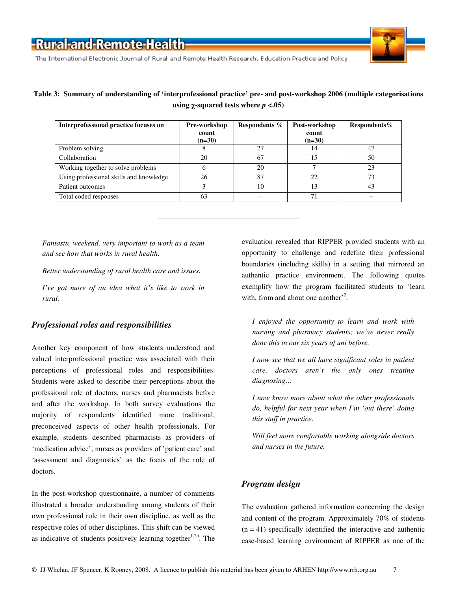

The International Electronic Journal of Rural and Remote Health Research, Education Practice and Policy

### **Table 3: Summary of understanding of 'interprofessional practice' pre- and post-workshop 2006 (multiple categorisations using** *χ***-squared tests where** *p* **<.05)**

| Interprofessional practice focuses on   | Pre-workshop<br>count<br>$(n=30)$ | Respondents % | Post-workshop<br>count<br>$(n=30)$ | Respondents $%$ |
|-----------------------------------------|-----------------------------------|---------------|------------------------------------|-----------------|
| Problem solving                         |                                   | 27            | 14                                 | 47              |
| Collaboration                           | 20                                | 67            | 15                                 | 50              |
| Working together to solve problems      | h                                 | 20            |                                    | 23              |
| Using professional skills and knowledge | 26                                | 87            | 22                                 | 73              |
| Patient outcomes                        |                                   | 10            | 13                                 | 43              |
| Total coded responses                   | 63                                |               | 71                                 |                 |

*Fantastic weekend, very important to work as a team and see how that works in rural health.* 

*Better understanding of rural health care and issues.* 

*I've got more of an idea what it's like to work in rural.* 

#### *Professional roles and responsibilities*

Another key component of how students understood and valued interprofessional practice was associated with their perceptions of professional roles and responsibilities. Students were asked to describe their perceptions about the professional role of doctors, nurses and pharmacists before and after the workshop. In both survey evaluations the majority of respondents identified more traditional, preconceived aspects of other health professionals. For example, students described pharmacists as providers of 'medication advice', nurses as providers of 'patient care' and 'assessment and diagnostics' as the focus of the role of doctors.

In the post-workshop questionnaire, a number of comments illustrated a broader understanding among students of their own professional role in their own discipline, as well as the respective roles of other disciplines. This shift can be viewed as indicative of students positively learning together<sup>1,25</sup>. The evaluation revealed that RIPPER provided students with an opportunity to challenge and redefine their professional boundaries (including skills) in a setting that mirrored an authentic practice environment. The following quotes exemplify how the program facilitated students to 'learn with, from and about one another<sup>2</sup>.

*I enjoyed the opportunity to learn and work with nursing and pharmacy students; we've never really done this in our six years of uni before.* 

*I now see that we all have significant roles in patient care, doctors aren't the only ones treating diagnosing…* 

*I now know more about what the other professionals do, helpful for next year when I'm 'out there' doing this stuff in practice.* 

*Will feel more comfortable working alongside doctors and nurses in the future.* 

### *Program design*

The evaluation gathered information concerning the design and content of the program. Approximately 70% of students  $(n = 41)$  specifically identified the interactive and authentic case-based learning environment of RIPPER as one of the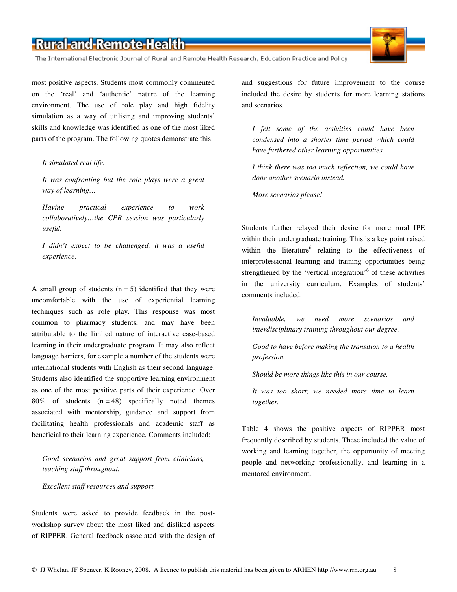The International Electronic Journal of Rural and Remote Health Research, Education Practice and Policy

most positive aspects. Students most commonly commented on the 'real' and 'authentic' nature of the learning environment. The use of role play and high fidelity simulation as a way of utilising and improving students' skills and knowledge was identified as one of the most liked parts of the program. The following quotes demonstrate this.

#### *It simulated real life.*

*It was confronting but the role plays were a great way of learning…* 

*Having practical experience to work collaboratively…the CPR session was particularly useful.* 

*I didn't expect to be challenged, it was a useful experience.* 

A small group of students  $(n = 5)$  identified that they were uncomfortable with the use of experiential learning techniques such as role play. This response was most common to pharmacy students, and may have been attributable to the limited nature of interactive case-based learning in their undergraduate program. It may also reflect language barriers, for example a number of the students were international students with English as their second language. Students also identified the supportive learning environment as one of the most positive parts of their experience. Over 80% of students  $(n = 48)$  specifically noted themes associated with mentorship, guidance and support from facilitating health professionals and academic staff as beneficial to their learning experience. Comments included:

*Good scenarios and great support from clinicians, teaching staff throughout.* 

*Excellent staff resources and support.* 

Students were asked to provide feedback in the postworkshop survey about the most liked and disliked aspects of RIPPER. General feedback associated with the design of and suggestions for future improvement to the course included the desire by students for more learning stations and scenarios.

*I felt some of the activities could have been condensed into a shorter time period which could have furthered other learning opportunities.* 

*I think there was too much reflection, we could have done another scenario instead.* 

*More scenarios please!* 

Students further relayed their desire for more rural IPE within their undergraduate training. This is a key point raised within the literature<sup>6</sup> relating to the effectiveness of interprofessional learning and training opportunities being strengthened by the 'vertical integration'<sup>6</sup> of these activities in the university curriculum. Examples of students' comments included:

*Invaluable, we need more scenarios and interdisciplinary training throughout our degree.* 

*Good to have before making the transition to a health profession.* 

*Should be more things like this in our course.* 

*It was too short; we needed more time to learn together.*

Table 4 shows the positive aspects of RIPPER most frequently described by students. These included the value of working and learning together, the opportunity of meeting people and networking professionally, and learning in a mentored environment.

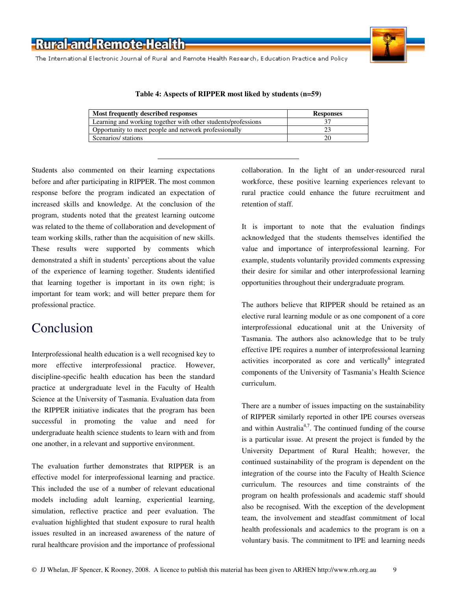The International Electronic Journal of Rural and Remote Health Research, Education Practice and Policy



#### **Table 4: Aspects of RIPPER most liked by students (n=59)**

| Most frequently described responses                           | <b>Responses</b> |  |
|---------------------------------------------------------------|------------------|--|
| Learning and working together with other students/professions |                  |  |
| Opportunity to meet people and network professionally         |                  |  |
| Scenarios/ stations                                           |                  |  |

Students also commented on their learning expectations before and after participating in RIPPER. The most common response before the program indicated an expectation of increased skills and knowledge. At the conclusion of the program, students noted that the greatest learning outcome was related to the theme of collaboration and development of team working skills, rather than the acquisition of new skills. These results were supported by comments which demonstrated a shift in students' perceptions about the value of the experience of learning together. Students identified that learning together is important in its own right; is important for team work; and will better prepare them for professional practice.

### Conclusion

Interprofessional health education is a well recognised key to more effective interprofessional practice. However, discipline-specific health education has been the standard practice at undergraduate level in the Faculty of Health Science at the University of Tasmania. Evaluation data from the RIPPER initiative indicates that the program has been successful in promoting the value and need for undergraduate health science students to learn with and from one another, in a relevant and supportive environment.

The evaluation further demonstrates that RIPPER is an effective model for interprofessional learning and practice. This included the use of a number of relevant educational models including adult learning, experiential learning, simulation, reflective practice and peer evaluation. The evaluation highlighted that student exposure to rural health issues resulted in an increased awareness of the nature of rural healthcare provision and the importance of professional collaboration. In the light of an under-resourced rural workforce, these positive learning experiences relevant to rural practice could enhance the future recruitment and retention of staff.

It is important to note that the evaluation findings acknowledged that the students themselves identified the value and importance of interprofessional learning. For example, students voluntarily provided comments expressing their desire for similar and other interprofessional learning opportunities throughout their undergraduate program.

The authors believe that RIPPER should be retained as an elective rural learning module or as one component of a core interprofessional educational unit at the University of Tasmania. The authors also acknowledge that to be truly effective IPE requires a number of interprofessional learning activities incorporated as core and vertically<sup>6</sup> integrated components of the University of Tasmania's Health Science curriculum.

There are a number of issues impacting on the sustainability of RIPPER similarly reported in other IPE courses overseas and within Australia<sup>4,7</sup>. The continued funding of the course is a particular issue. At present the project is funded by the University Department of Rural Health; however, the continued sustainability of the program is dependent on the integration of the course into the Faculty of Health Science curriculum. The resources and time constraints of the program on health professionals and academic staff should also be recognised. With the exception of the development team, the involvement and steadfast commitment of local health professionals and academics to the program is on a voluntary basis. The commitment to IPE and learning needs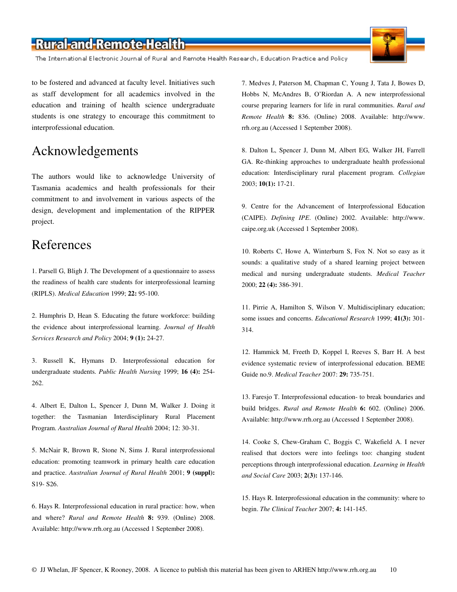The International Electronic Journal of Rural and Remote Health Research, Education Practice and Policy

to be fostered and advanced at faculty level. Initiatives such as staff development for all academics involved in the education and training of health science undergraduate students is one strategy to encourage this commitment to interprofessional education.

### Acknowledgements

The authors would like to acknowledge University of Tasmania academics and health professionals for their commitment to and involvement in various aspects of the design, development and implementation of the RIPPER project.

### References

1. Parsell G, Bligh J. The Development of a questionnaire to assess the readiness of health care students for interprofessional learning (RIPLS). *Medical Education* 1999; **22:** 95-100.

2. Humphris D, Hean S. Educating the future workforce: building the evidence about interprofessional learning. *Journal of Health Services Research and Policy* 2004; **9 (1):** 24-27.

3. Russell K, Hymans D. Interprofessional education for undergraduate students. *Public Health Nursing* 1999; **16 (4):** 254- 262.

4. Albert E, Dalton L, Spencer J, Dunn M, Walker J. Doing it together: the Tasmanian Interdisciplinary Rural Placement Program. *Australian Journal of Rural Health* 2004; 12: 30-31.

5. McNair R, Brown R, Stone N, Sims J. Rural interprofessional education: promoting teamwork in primary health care education and practice. *Australian Journal of Rural Health* 2001; **9 (suppl):** S19- S26.

6. Hays R. Interprofessional education in rural practice: how, when and where? *Rural and Remote Health* **8:** 939. (Online) 2008. Available: http://www.rrh.org.au (Accessed 1 September 2008).

7. Medves J, Paterson M, Chapman C, Young J, Tata J, Bowes D, Hobbs N, McAndres B, O'Riordan A. A new interprofessional course preparing learners for life in rural communities. *Rural and Remote Health* **8:** 836. (Online) 2008. Available: http://www. rrh.org.au (Accessed 1 September 2008).

8. Dalton L, Spencer J, Dunn M, Albert EG, Walker JH, Farrell GA. Re-thinking approaches to undergraduate health professional education: Interdisciplinary rural placement program. *Collegian* 2003; **10(1):** 17-21.

9. Centre for the Advancement of Interprofessional Education (CAIPE). *Defining IPE*. (Online) 2002. Available: http://www. caipe.org.uk (Accessed 1 September 2008).

10. Roberts C, Howe A, Winterburn S, Fox N. Not so easy as it sounds: a qualitative study of a shared learning project between medical and nursing undergraduate students. *Medical Teacher* 2000; **22 (4):** 386-391.

11. Pirrie A, Hamilton S, Wilson V. Multidisciplinary education; some issues and concerns. *Educational Research* 1999; **41(3):** 301- 314.

12. Hammick M, Freeth D, Koppel I, Reeves S, Barr H. A best evidence systematic review of interprofessional education. BEME Guide no.9. *Medical Teacher* 2007: **29:** 735-751.

13. Faresjo T. Interprofessional education- to break boundaries and build bridges. *Rural and Remote Health* **6:** 602. (Online) 2006. Available: http://www.rrh.org.au (Accessed 1 September 2008).

14. Cooke S, Chew-Graham C, Boggis C, Wakefield A. I never realised that doctors were into feelings too: changing student perceptions through interprofessional education. *Learning in Health and Social Care* 2003; **2(3):** 137-146.

15. Hays R. Interprofessional education in the community: where to begin. *The Clinical Teacher* 2007; **4:** 141-145.